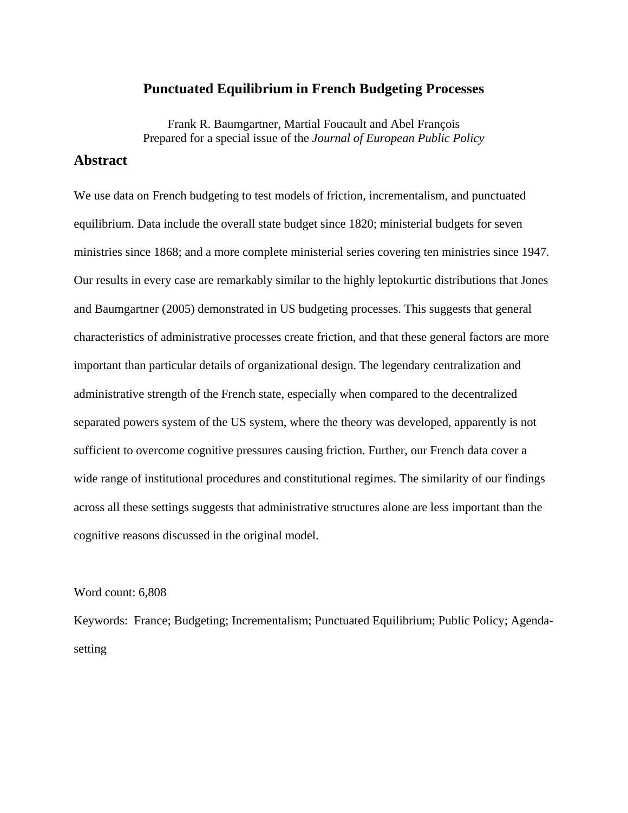#### **Punctuated Equilibrium in French Budgeting Processes**

Frank R. Baumgartner, Martial Foucault and Abel François Prepared for a special issue of the *Journal of European Public Policy*

## **Abstract**

We use data on French budgeting to test models of friction, incrementalism, and punctuated equilibrium. Data include the overall state budget since 1820; ministerial budgets for seven ministries since 1868; and a more complete ministerial series covering ten ministries since 1947. Our results in every case are remarkably similar to the highly leptokurtic distributions that Jones and Baumgartner (2005) demonstrated in US budgeting processes. This suggests that general characteristics of administrative processes create friction, and that these general factors are more important than particular details of organizational design. The legendary centralization and administrative strength of the French state, especially when compared to the decentralized separated powers system of the US system, where the theory was developed, apparently is not sufficient to overcome cognitive pressures causing friction. Further, our French data cover a wide range of institutional procedures and constitutional regimes. The similarity of our findings across all these settings suggests that administrative structures alone are less important than the cognitive reasons discussed in the original model.

#### Word count: 6,808

Keywords: France; Budgeting; Incrementalism; Punctuated Equilibrium; Public Policy; Agendasetting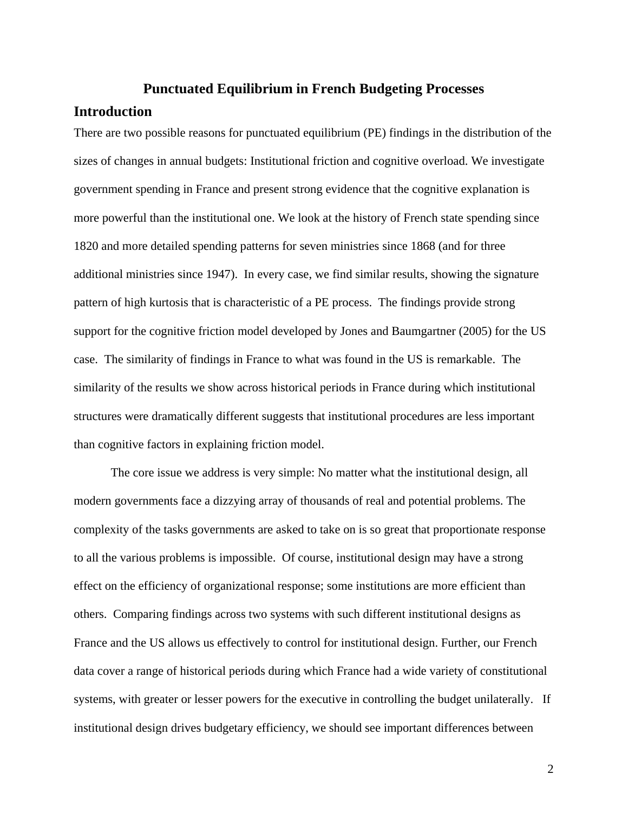# **Punctuated Equilibrium in French Budgeting Processes**

### **Introduction**

There are two possible reasons for punctuated equilibrium (PE) findings in the distribution of the sizes of changes in annual budgets: Institutional friction and cognitive overload. We investigate government spending in France and present strong evidence that the cognitive explanation is more powerful than the institutional one. We look at the history of French state spending since 1820 and more detailed spending patterns for seven ministries since 1868 (and for three additional ministries since 1947). In every case, we find similar results, showing the signature pattern of high kurtosis that is characteristic of a PE process. The findings provide strong support for the cognitive friction model developed by Jones and Baumgartner (2005) for the US case. The similarity of findings in France to what was found in the US is remarkable. The similarity of the results we show across historical periods in France during which institutional structures were dramatically different suggests that institutional procedures are less important than cognitive factors in explaining friction model.

The core issue we address is very simple: No matter what the institutional design, all modern governments face a dizzying array of thousands of real and potential problems. The complexity of the tasks governments are asked to take on is so great that proportionate response to all the various problems is impossible. Of course, institutional design may have a strong effect on the efficiency of organizational response; some institutions are more efficient than others. Comparing findings across two systems with such different institutional designs as France and the US allows us effectively to control for institutional design. Further, our French data cover a range of historical periods during which France had a wide variety of constitutional systems, with greater or lesser powers for the executive in controlling the budget unilaterally. If institutional design drives budgetary efficiency, we should see important differences between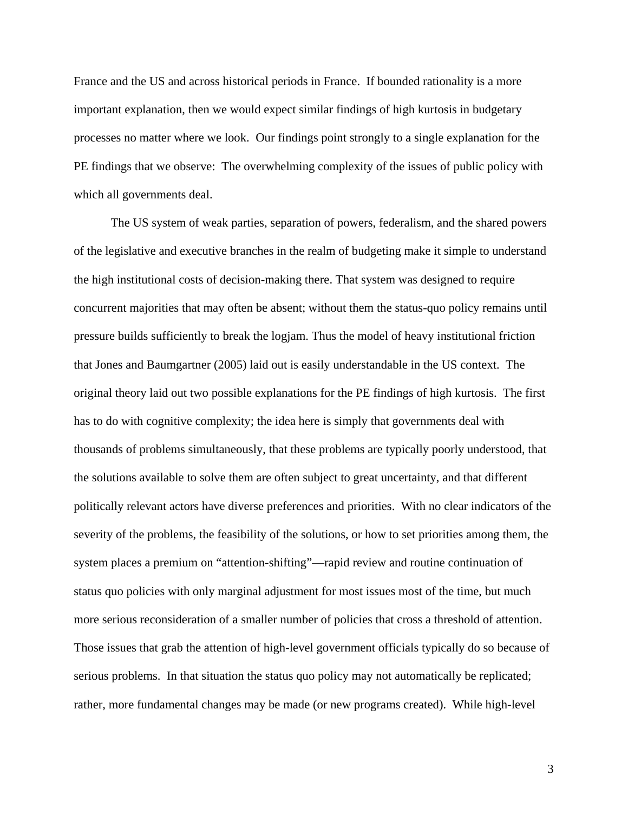France and the US and across historical periods in France. If bounded rationality is a more important explanation, then we would expect similar findings of high kurtosis in budgetary processes no matter where we look. Our findings point strongly to a single explanation for the PE findings that we observe: The overwhelming complexity of the issues of public policy with which all governments deal.

The US system of weak parties, separation of powers, federalism, and the shared powers of the legislative and executive branches in the realm of budgeting make it simple to understand the high institutional costs of decision-making there. That system was designed to require concurrent majorities that may often be absent; without them the status-quo policy remains until pressure builds sufficiently to break the logjam. Thus the model of heavy institutional friction that Jones and Baumgartner (2005) laid out is easily understandable in the US context. The original theory laid out two possible explanations for the PE findings of high kurtosis. The first has to do with cognitive complexity; the idea here is simply that governments deal with thousands of problems simultaneously, that these problems are typically poorly understood, that the solutions available to solve them are often subject to great uncertainty, and that different politically relevant actors have diverse preferences and priorities. With no clear indicators of the severity of the problems, the feasibility of the solutions, or how to set priorities among them, the system places a premium on "attention-shifting"—rapid review and routine continuation of status quo policies with only marginal adjustment for most issues most of the time, but much more serious reconsideration of a smaller number of policies that cross a threshold of attention. Those issues that grab the attention of high-level government officials typically do so because of serious problems. In that situation the status quo policy may not automatically be replicated; rather, more fundamental changes may be made (or new programs created). While high-level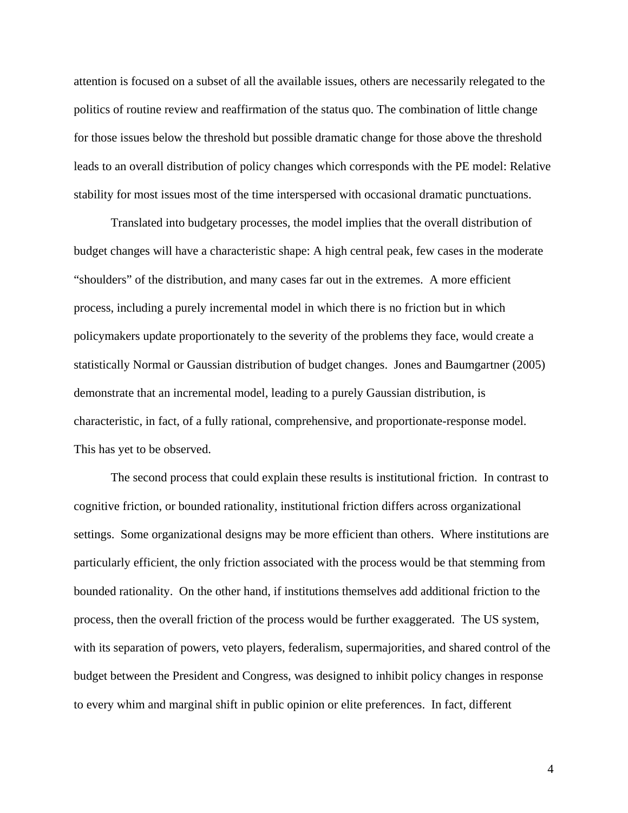attention is focused on a subset of all the available issues, others are necessarily relegated to the politics of routine review and reaffirmation of the status quo. The combination of little change for those issues below the threshold but possible dramatic change for those above the threshold leads to an overall distribution of policy changes which corresponds with the PE model: Relative stability for most issues most of the time interspersed with occasional dramatic punctuations.

Translated into budgetary processes, the model implies that the overall distribution of budget changes will have a characteristic shape: A high central peak, few cases in the moderate "shoulders" of the distribution, and many cases far out in the extremes. A more efficient process, including a purely incremental model in which there is no friction but in which policymakers update proportionately to the severity of the problems they face, would create a statistically Normal or Gaussian distribution of budget changes. Jones and Baumgartner (2005) demonstrate that an incremental model, leading to a purely Gaussian distribution, is characteristic, in fact, of a fully rational, comprehensive, and proportionate-response model. This has yet to be observed.

The second process that could explain these results is institutional friction. In contrast to cognitive friction, or bounded rationality, institutional friction differs across organizational settings. Some organizational designs may be more efficient than others. Where institutions are particularly efficient, the only friction associated with the process would be that stemming from bounded rationality. On the other hand, if institutions themselves add additional friction to the process, then the overall friction of the process would be further exaggerated. The US system, with its separation of powers, veto players, federalism, supermajorities, and shared control of the budget between the President and Congress, was designed to inhibit policy changes in response to every whim and marginal shift in public opinion or elite preferences. In fact, different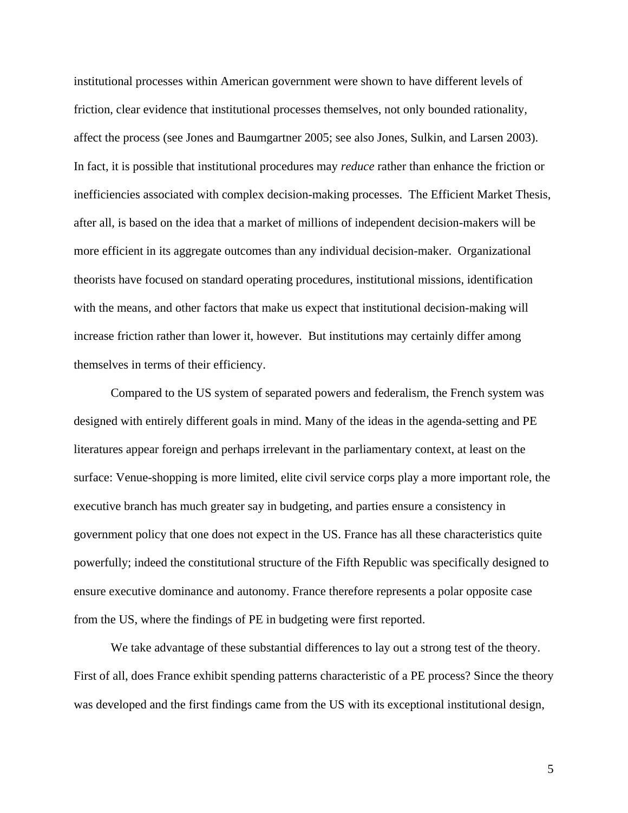institutional processes within American government were shown to have different levels of friction, clear evidence that institutional processes themselves, not only bounded rationality, affect the process (see Jones and Baumgartner 2005; see also Jones, Sulkin, and Larsen 2003). In fact, it is possible that institutional procedures may *reduce* rather than enhance the friction or inefficiencies associated with complex decision-making processes. The Efficient Market Thesis, after all, is based on the idea that a market of millions of independent decision-makers will be more efficient in its aggregate outcomes than any individual decision-maker. Organizational theorists have focused on standard operating procedures, institutional missions, identification with the means, and other factors that make us expect that institutional decision-making will increase friction rather than lower it, however. But institutions may certainly differ among themselves in terms of their efficiency.

Compared to the US system of separated powers and federalism, the French system was designed with entirely different goals in mind. Many of the ideas in the agenda-setting and PE literatures appear foreign and perhaps irrelevant in the parliamentary context, at least on the surface: Venue-shopping is more limited, elite civil service corps play a more important role, the executive branch has much greater say in budgeting, and parties ensure a consistency in government policy that one does not expect in the US. France has all these characteristics quite powerfully; indeed the constitutional structure of the Fifth Republic was specifically designed to ensure executive dominance and autonomy. France therefore represents a polar opposite case from the US, where the findings of PE in budgeting were first reported.

We take advantage of these substantial differences to lay out a strong test of the theory. First of all, does France exhibit spending patterns characteristic of a PE process? Since the theory was developed and the first findings came from the US with its exceptional institutional design,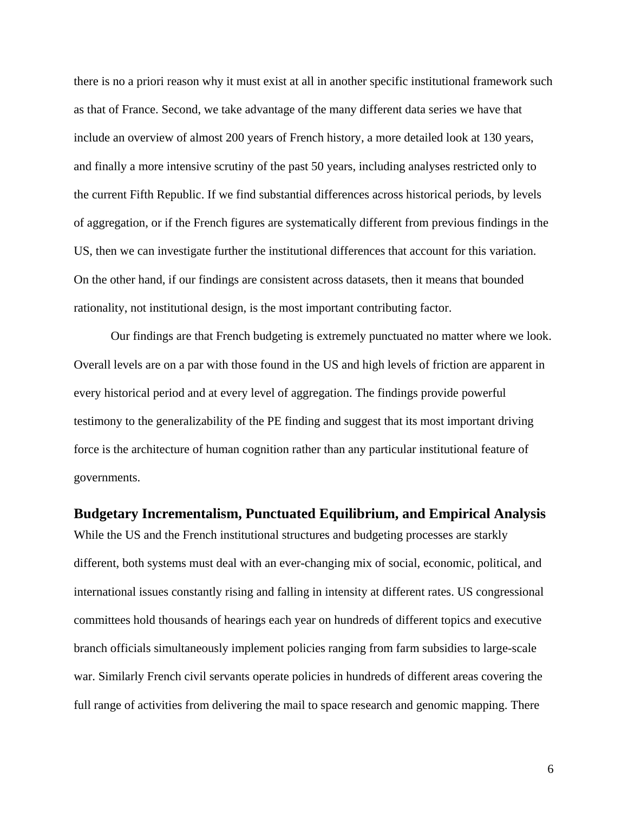there is no a priori reason why it must exist at all in another specific institutional framework such as that of France. Second, we take advantage of the many different data series we have that include an overview of almost 200 years of French history, a more detailed look at 130 years, and finally a more intensive scrutiny of the past 50 years, including analyses restricted only to the current Fifth Republic. If we find substantial differences across historical periods, by levels of aggregation, or if the French figures are systematically different from previous findings in the US, then we can investigate further the institutional differences that account for this variation. On the other hand, if our findings are consistent across datasets, then it means that bounded rationality, not institutional design, is the most important contributing factor.

Our findings are that French budgeting is extremely punctuated no matter where we look. Overall levels are on a par with those found in the US and high levels of friction are apparent in every historical period and at every level of aggregation. The findings provide powerful testimony to the generalizability of the PE finding and suggest that its most important driving force is the architecture of human cognition rather than any particular institutional feature of governments.

#### **Budgetary Incrementalism, Punctuated Equilibrium, and Empirical Analysis**

While the US and the French institutional structures and budgeting processes are starkly different, both systems must deal with an ever-changing mix of social, economic, political, and international issues constantly rising and falling in intensity at different rates. US congressional committees hold thousands of hearings each year on hundreds of different topics and executive branch officials simultaneously implement policies ranging from farm subsidies to large-scale war. Similarly French civil servants operate policies in hundreds of different areas covering the full range of activities from delivering the mail to space research and genomic mapping. There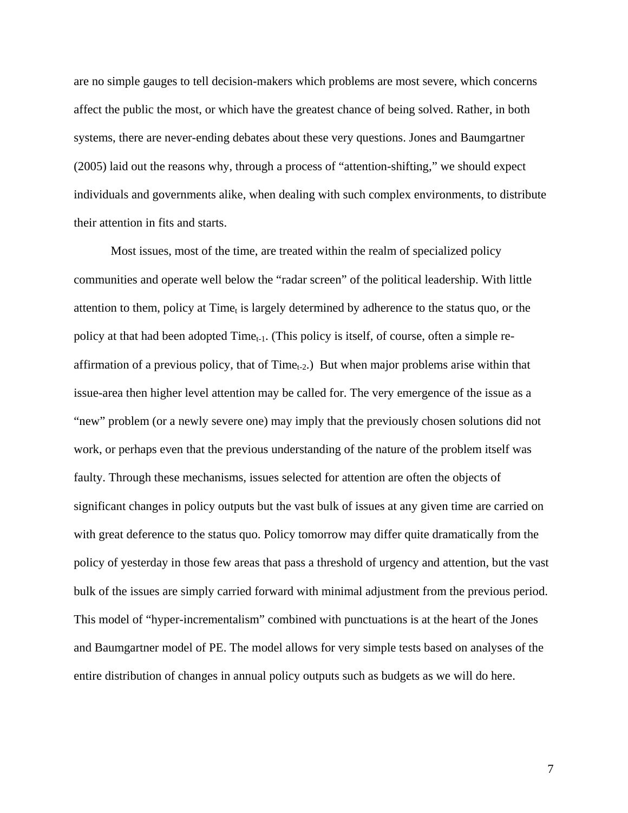are no simple gauges to tell decision-makers which problems are most severe, which concerns affect the public the most, or which have the greatest chance of being solved. Rather, in both systems, there are never-ending debates about these very questions. Jones and Baumgartner (2005) laid out the reasons why, through a process of "attention-shifting," we should expect individuals and governments alike, when dealing with such complex environments, to distribute their attention in fits and starts.

Most issues, most of the time, are treated within the realm of specialized policy communities and operate well below the "radar screen" of the political leadership. With little attention to them, policy at Time<sub>t</sub> is largely determined by adherence to the status quo, or the policy at that had been adopted  $Time_{t-1}$ . (This policy is itself, of course, often a simple reaffirmation of a previous policy, that of  $Time_{t-2}$ . But when major problems arise within that issue-area then higher level attention may be called for. The very emergence of the issue as a "new" problem (or a newly severe one) may imply that the previously chosen solutions did not work, or perhaps even that the previous understanding of the nature of the problem itself was faulty. Through these mechanisms, issues selected for attention are often the objects of significant changes in policy outputs but the vast bulk of issues at any given time are carried on with great deference to the status quo. Policy tomorrow may differ quite dramatically from the policy of yesterday in those few areas that pass a threshold of urgency and attention, but the vast bulk of the issues are simply carried forward with minimal adjustment from the previous period. This model of "hyper-incrementalism" combined with punctuations is at the heart of the Jones and Baumgartner model of PE. The model allows for very simple tests based on analyses of the entire distribution of changes in annual policy outputs such as budgets as we will do here.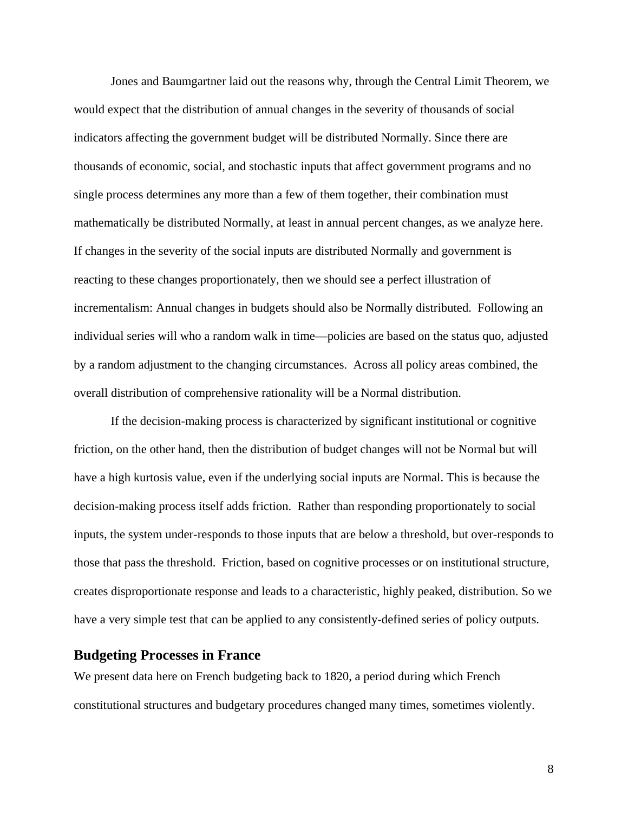Jones and Baumgartner laid out the reasons why, through the Central Limit Theorem, we would expect that the distribution of annual changes in the severity of thousands of social indicators affecting the government budget will be distributed Normally. Since there are thousands of economic, social, and stochastic inputs that affect government programs and no single process determines any more than a few of them together, their combination must mathematically be distributed Normally, at least in annual percent changes, as we analyze here. If changes in the severity of the social inputs are distributed Normally and government is reacting to these changes proportionately, then we should see a perfect illustration of incrementalism: Annual changes in budgets should also be Normally distributed. Following an individual series will who a random walk in time—policies are based on the status quo, adjusted by a random adjustment to the changing circumstances. Across all policy areas combined, the overall distribution of comprehensive rationality will be a Normal distribution.

If the decision-making process is characterized by significant institutional or cognitive friction, on the other hand, then the distribution of budget changes will not be Normal but will have a high kurtosis value, even if the underlying social inputs are Normal. This is because the decision-making process itself adds friction. Rather than responding proportionately to social inputs, the system under-responds to those inputs that are below a threshold, but over-responds to those that pass the threshold. Friction, based on cognitive processes or on institutional structure, creates disproportionate response and leads to a characteristic, highly peaked, distribution. So we have a very simple test that can be applied to any consistently-defined series of policy outputs.

## **Budgeting Processes in France**

We present data here on French budgeting back to 1820, a period during which French constitutional structures and budgetary procedures changed many times, sometimes violently.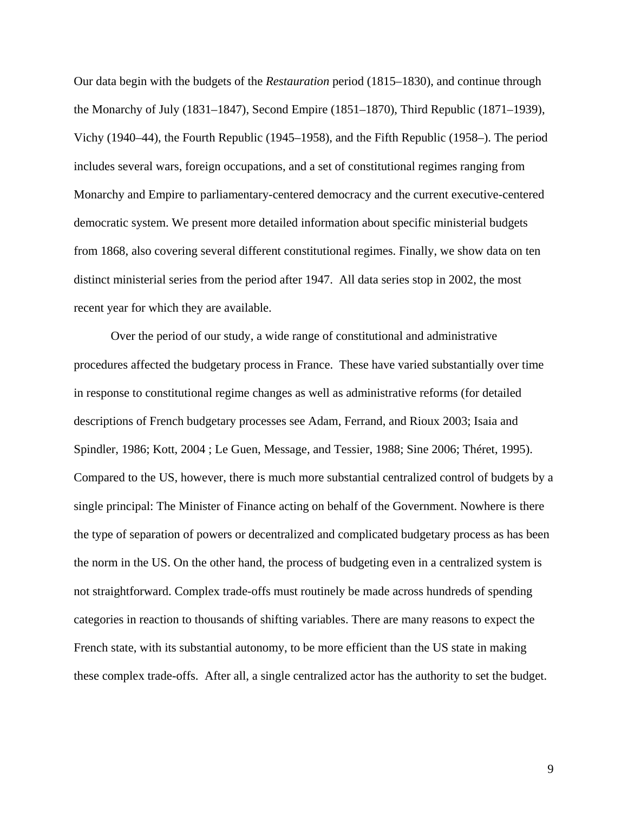Our data begin with the budgets of the *Restauration* period (1815–1830), and continue through the Monarchy of July (1831–1847), Second Empire (1851–1870), Third Republic (1871–1939), Vichy (1940–44), the Fourth Republic (1945–1958), and the Fifth Republic (1958–). The period includes several wars, foreign occupations, and a set of constitutional regimes ranging from Monarchy and Empire to parliamentary-centered democracy and the current executive-centered democratic system. We present more detailed information about specific ministerial budgets from 1868, also covering several different constitutional regimes. Finally, we show data on ten distinct ministerial series from the period after 1947. All data series stop in 2002, the most recent year for which they are available.

Over the period of our study, a wide range of constitutional and administrative procedures affected the budgetary process in France. These have varied substantially over time in response to constitutional regime changes as well as administrative reforms (for detailed descriptions of French budgetary processes see Adam, Ferrand, and Rioux 2003; Isaia and Spindler, 1986; Kott, 2004 ; Le Guen, Message, and Tessier, 1988; Sine 2006; Théret, 1995). Compared to the US, however, there is much more substantial centralized control of budgets by a single principal: The Minister of Finance acting on behalf of the Government. Nowhere is there the type of separation of powers or decentralized and complicated budgetary process as has been the norm in the US. On the other hand, the process of budgeting even in a centralized system is not straightforward. Complex trade-offs must routinely be made across hundreds of spending categories in reaction to thousands of shifting variables. There are many reasons to expect the French state, with its substantial autonomy, to be more efficient than the US state in making these complex trade-offs. After all, a single centralized actor has the authority to set the budget.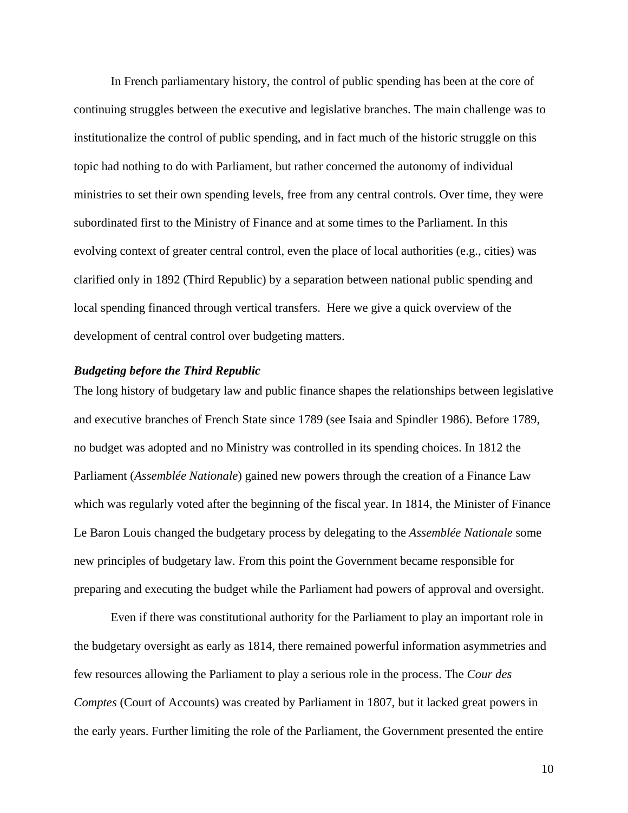In French parliamentary history, the control of public spending has been at the core of continuing struggles between the executive and legislative branches. The main challenge was to institutionalize the control of public spending, and in fact much of the historic struggle on this topic had nothing to do with Parliament, but rather concerned the autonomy of individual ministries to set their own spending levels, free from any central controls. Over time, they were subordinated first to the Ministry of Finance and at some times to the Parliament. In this evolving context of greater central control, even the place of local authorities (e.g., cities) was clarified only in 1892 (Third Republic) by a separation between national public spending and local spending financed through vertical transfers. Here we give a quick overview of the development of central control over budgeting matters.

#### *Budgeting before the Third Republic*

The long history of budgetary law and public finance shapes the relationships between legislative and executive branches of French State since 1789 (see Isaia and Spindler 1986). Before 1789, no budget was adopted and no Ministry was controlled in its spending choices. In 1812 the Parliament (*Assemblée Nationale*) gained new powers through the creation of a Finance Law which was regularly voted after the beginning of the fiscal year. In 1814, the Minister of Finance Le Baron Louis changed the budgetary process by delegating to the *Assemblée Nationale* some new principles of budgetary law. From this point the Government became responsible for preparing and executing the budget while the Parliament had powers of approval and oversight.

Even if there was constitutional authority for the Parliament to play an important role in the budgetary oversight as early as 1814, there remained powerful information asymmetries and few resources allowing the Parliament to play a serious role in the process. The *Cour des Comptes* (Court of Accounts) was created by Parliament in 1807, but it lacked great powers in the early years. Further limiting the role of the Parliament, the Government presented the entire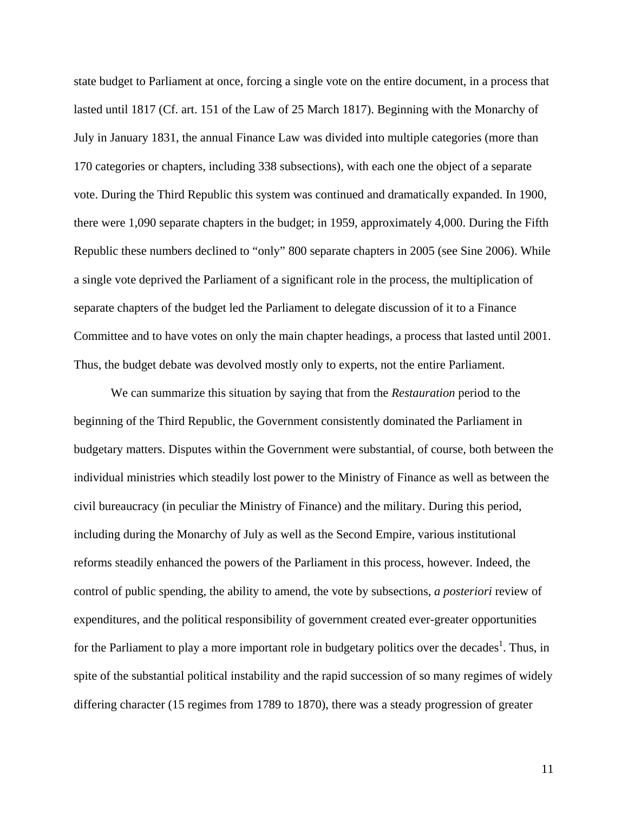state budget to Parliament at once, forcing a single vote on the entire document, in a process that lasted until 1817 (Cf. art. 151 of the Law of 25 March 1817). Beginning with the Monarchy of July in January 1831, the annual Finance Law was divided into multiple categories (more than 170 categories or chapters, including 338 subsections), with each one the object of a separate vote. During the Third Republic this system was continued and dramatically expanded. In 1900, there were 1,090 separate chapters in the budget; in 1959, approximately 4,000. During the Fifth Republic these numbers declined to "only" 800 separate chapters in 2005 (see Sine 2006). While a single vote deprived the Parliament of a significant role in the process, the multiplication of separate chapters of the budget led the Parliament to delegate discussion of it to a Finance Committee and to have votes on only the main chapter headings, a process that lasted until 2001. Thus, the budget debate was devolved mostly only to experts, not the entire Parliament.

We can summarize this situation by saying that from the *Restauration* period to the beginning of the Third Republic, the Government consistently dominated the Parliament in budgetary matters. Disputes within the Government were substantial, of course, both between the individual ministries which steadily lost power to the Ministry of Finance as well as between the civil bureaucracy (in peculiar the Ministry of Finance) and the military. During this period, including during the Monarchy of July as well as the Second Empire, various institutional reforms steadily enhanced the powers of the Parliament in this process, however. Indeed, the control of public spending, the ability to amend, the vote by subsections, *a posteriori* review of expenditures, and the political responsibility of government created ever-greater opportunities for the Parliament to play a more important role in budgetary politics over the decades<sup>[1](#page-22-0)</sup>. Thus, in spite of the substantial political instability and the rapid succession of so many regimes of widely differing character (15 regimes from 1789 to 1870), there was a steady progression of greater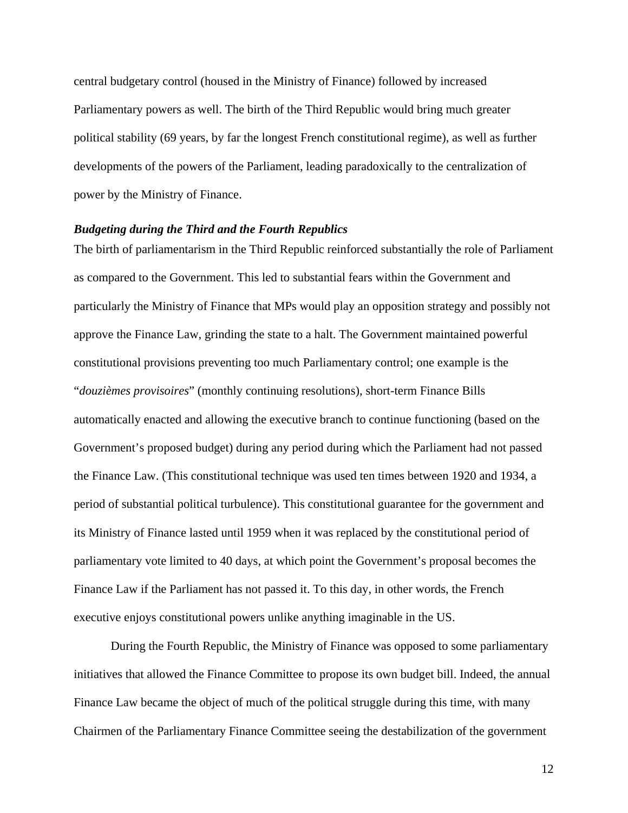central budgetary control (housed in the Ministry of Finance) followed by increased Parliamentary powers as well. The birth of the Third Republic would bring much greater political stability (69 years, by far the longest French constitutional regime), as well as further developments of the powers of the Parliament, leading paradoxically to the centralization of power by the Ministry of Finance.

#### *Budgeting during the Third and the Fourth Republics*

The birth of parliamentarism in the Third Republic reinforced substantially the role of Parliament as compared to the Government. This led to substantial fears within the Government and particularly the Ministry of Finance that MPs would play an opposition strategy and possibly not approve the Finance Law, grinding the state to a halt. The Government maintained powerful constitutional provisions preventing too much Parliamentary control; one example is the "*douzièmes provisoires*" (monthly continuing resolutions), short-term Finance Bills automatically enacted and allowing the executive branch to continue functioning (based on the Government's proposed budget) during any period during which the Parliament had not passed the Finance Law. (This constitutional technique was used ten times between 1920 and 1934, a period of substantial political turbulence). This constitutional guarantee for the government and its Ministry of Finance lasted until 1959 when it was replaced by the constitutional period of parliamentary vote limited to 40 days, at which point the Government's proposal becomes the Finance Law if the Parliament has not passed it. To this day, in other words, the French executive enjoys constitutional powers unlike anything imaginable in the US.

During the Fourth Republic, the Ministry of Finance was opposed to some parliamentary initiatives that allowed the Finance Committee to propose its own budget bill. Indeed, the annual Finance Law became the object of much of the political struggle during this time, with many Chairmen of the Parliamentary Finance Committee seeing the destabilization of the government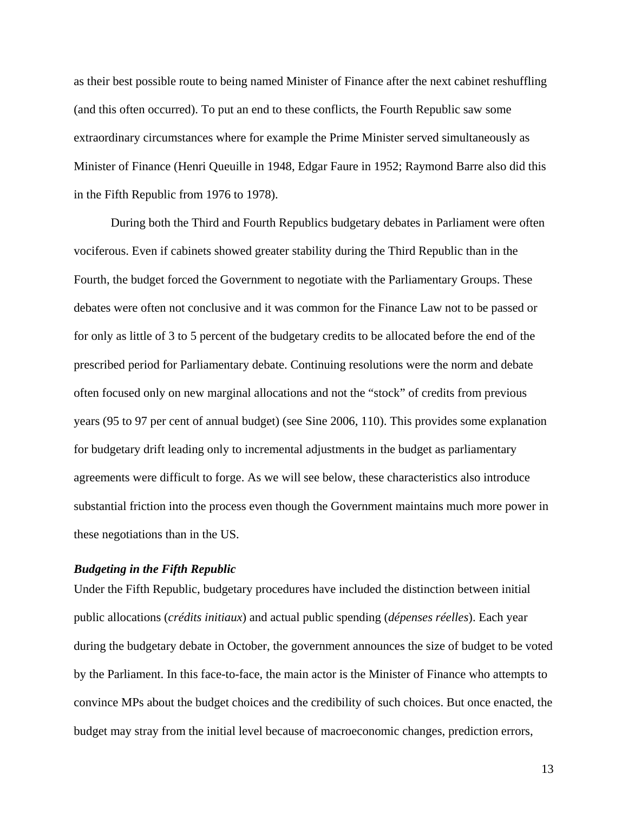as their best possible route to being named Minister of Finance after the next cabinet reshuffling (and this often occurred). To put an end to these conflicts, the Fourth Republic saw some extraordinary circumstances where for example the Prime Minister served simultaneously as Minister of Finance (Henri Queuille in 1948, Edgar Faure in 1952; Raymond Barre also did this in the Fifth Republic from 1976 to 1978).

During both the Third and Fourth Republics budgetary debates in Parliament were often vociferous. Even if cabinets showed greater stability during the Third Republic than in the Fourth, the budget forced the Government to negotiate with the Parliamentary Groups. These debates were often not conclusive and it was common for the Finance Law not to be passed or for only as little of 3 to 5 percent of the budgetary credits to be allocated before the end of the prescribed period for Parliamentary debate. Continuing resolutions were the norm and debate often focused only on new marginal allocations and not the "stock" of credits from previous years (95 to 97 per cent of annual budget) (see Sine 2006, 110). This provides some explanation for budgetary drift leading only to incremental adjustments in the budget as parliamentary agreements were difficult to forge. As we will see below, these characteristics also introduce substantial friction into the process even though the Government maintains much more power in these negotiations than in the US.

#### *Budgeting in the Fifth Republic*

Under the Fifth Republic, budgetary procedures have included the distinction between initial public allocations (*crédits initiaux*) and actual public spending (*dépenses réelles*). Each year during the budgetary debate in October, the government announces the size of budget to be voted by the Parliament. In this face-to-face, the main actor is the Minister of Finance who attempts to convince MPs about the budget choices and the credibility of such choices. But once enacted, the budget may stray from the initial level because of macroeconomic changes, prediction errors,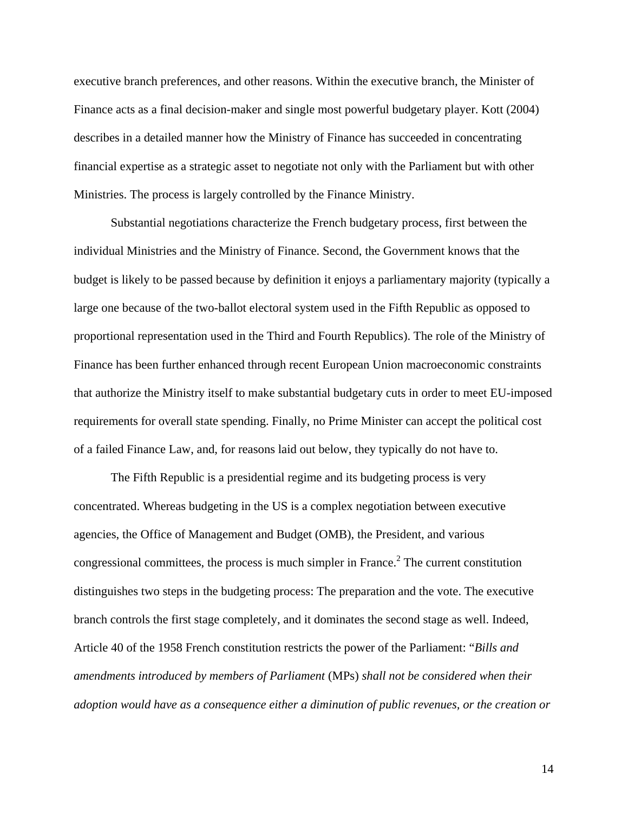executive branch preferences, and other reasons. Within the executive branch, the Minister of Finance acts as a final decision-maker and single most powerful budgetary player. Kott (2004) describes in a detailed manner how the Ministry of Finance has succeeded in concentrating financial expertise as a strategic asset to negotiate not only with the Parliament but with other Ministries. The process is largely controlled by the Finance Ministry.

Substantial negotiations characterize the French budgetary process, first between the individual Ministries and the Ministry of Finance. Second, the Government knows that the budget is likely to be passed because by definition it enjoys a parliamentary majority (typically a large one because of the two-ballot electoral system used in the Fifth Republic as opposed to proportional representation used in the Third and Fourth Republics). The role of the Ministry of Finance has been further enhanced through recent European Union macroeconomic constraints that authorize the Ministry itself to make substantial budgetary cuts in order to meet EU-imposed requirements for overall state spending. Finally, no Prime Minister can accept the political cost of a failed Finance Law, and, for reasons laid out below, they typically do not have to.

The Fifth Republic is a presidential regime and its budgeting process is very concentrated. Whereas budgeting in the US is a complex negotiation between executive agencies, the Office of Management and Budget (OMB), the President, and various congressional committees, the process is much simpler in France.<sup>[2](#page-22-1)</sup> The current constitution distinguishes two steps in the budgeting process: The preparation and the vote. The executive branch controls the first stage completely, and it dominates the second stage as well. Indeed, Article 40 of the 1958 French constitution restricts the power of the Parliament: "*Bills and amendments introduced by members of Parliament* (MPs) *shall not be considered when their adoption would have as a consequence either a diminution of public revenues, or the creation or*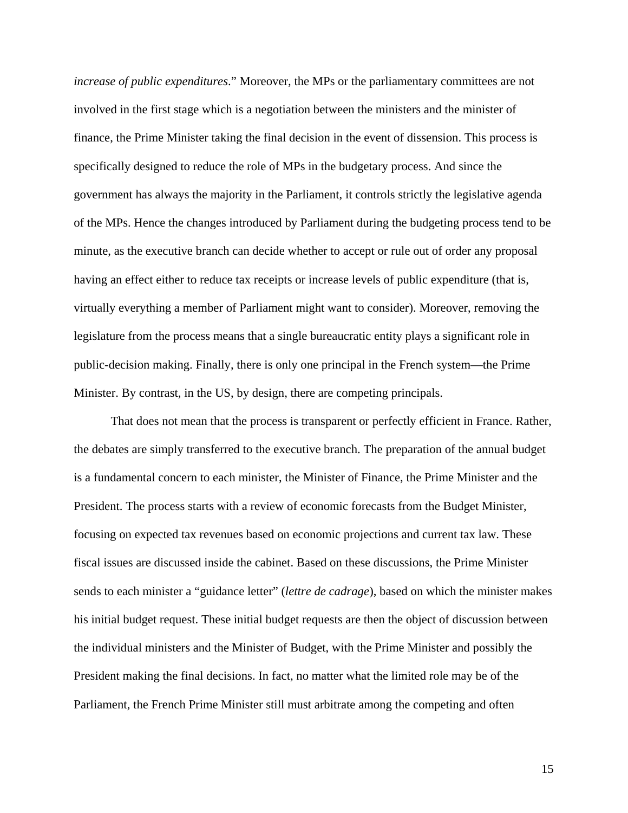*increase of public expenditures*." Moreover, the MPs or the parliamentary committees are not involved in the first stage which is a negotiation between the ministers and the minister of finance, the Prime Minister taking the final decision in the event of dissension. This process is specifically designed to reduce the role of MPs in the budgetary process. And since the government has always the majority in the Parliament, it controls strictly the legislative agenda of the MPs. Hence the changes introduced by Parliament during the budgeting process tend to be minute, as the executive branch can decide whether to accept or rule out of order any proposal having an effect either to reduce tax receipts or increase levels of public expenditure (that is, virtually everything a member of Parliament might want to consider). Moreover, removing the legislature from the process means that a single bureaucratic entity plays a significant role in public-decision making. Finally, there is only one principal in the French system—the Prime Minister. By contrast, in the US, by design, there are competing principals.

That does not mean that the process is transparent or perfectly efficient in France. Rather, the debates are simply transferred to the executive branch. The preparation of the annual budget is a fundamental concern to each minister, the Minister of Finance, the Prime Minister and the President. The process starts with a review of economic forecasts from the Budget Minister, focusing on expected tax revenues based on economic projections and current tax law. These fiscal issues are discussed inside the cabinet. Based on these discussions, the Prime Minister sends to each minister a "guidance letter" (*lettre de cadrage*), based on which the minister makes his initial budget request. These initial budget requests are then the object of discussion between the individual ministers and the Minister of Budget, with the Prime Minister and possibly the President making the final decisions. In fact, no matter what the limited role may be of the Parliament, the French Prime Minister still must arbitrate among the competing and often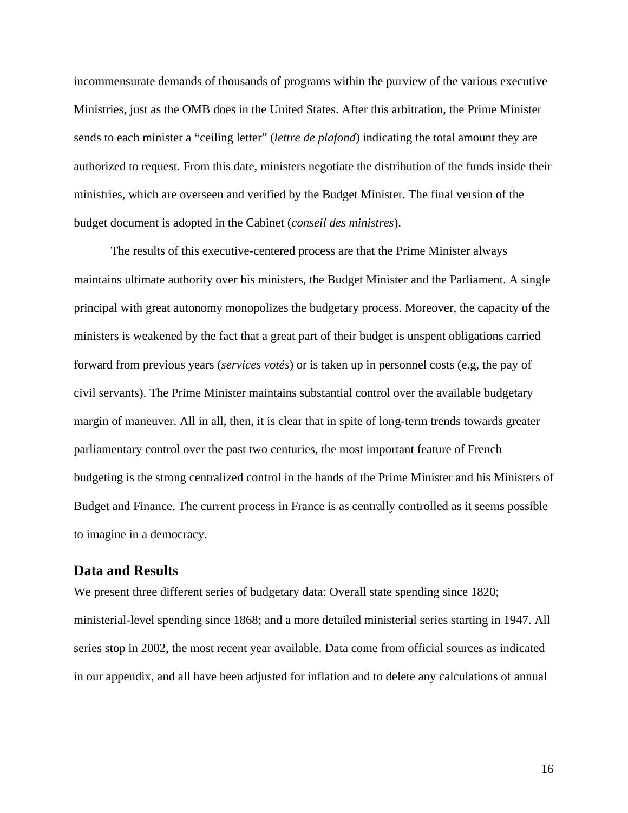incommensurate demands of thousands of programs within the purview of the various executive Ministries, just as the OMB does in the United States. After this arbitration, the Prime Minister sends to each minister a "ceiling letter" (*lettre de plafond*) indicating the total amount they are authorized to request. From this date, ministers negotiate the distribution of the funds inside their ministries, which are overseen and verified by the Budget Minister. The final version of the budget document is adopted in the Cabinet (*conseil des ministres*).

The results of this executive-centered process are that the Prime Minister always maintains ultimate authority over his ministers, the Budget Minister and the Parliament. A single principal with great autonomy monopolizes the budgetary process. Moreover, the capacity of the ministers is weakened by the fact that a great part of their budget is unspent obligations carried forward from previous years (*services votés*) or is taken up in personnel costs (e.g, the pay of civil servants). The Prime Minister maintains substantial control over the available budgetary margin of maneuver. All in all, then, it is clear that in spite of long-term trends towards greater parliamentary control over the past two centuries, the most important feature of French budgeting is the strong centralized control in the hands of the Prime Minister and his Ministers of Budget and Finance. The current process in France is as centrally controlled as it seems possible to imagine in a democracy.

## **Data and Results**

We present three different series of budgetary data: Overall state spending since 1820; ministerial-level spending since 1868; and a more detailed ministerial series starting in 1947. All series stop in 2002, the most recent year available. Data come from official sources as indicated in our appendix, and all have been adjusted for inflation and to delete any calculations of annual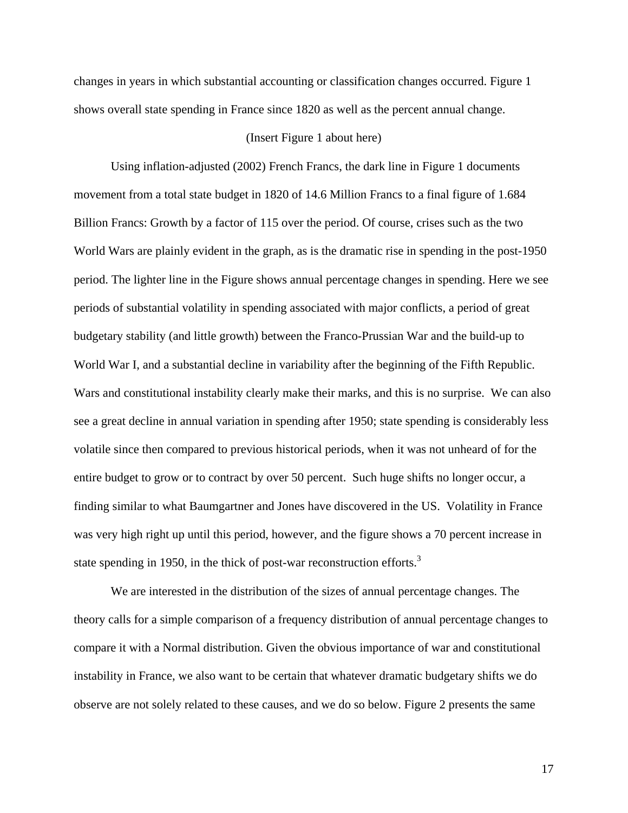changes in years in which substantial accounting or classification changes occurred. Figure 1 shows overall state spending in France since 1820 as well as the percent annual change.

#### (Insert Figure 1 about here)

Using inflation-adjusted (2002) French Francs, the dark line in Figure 1 documents movement from a total state budget in 1820 of 14.6 Million Francs to a final figure of 1.684 Billion Francs: Growth by a factor of 115 over the period. Of course, crises such as the two World Wars are plainly evident in the graph, as is the dramatic rise in spending in the post-1950 period. The lighter line in the Figure shows annual percentage changes in spending. Here we see periods of substantial volatility in spending associated with major conflicts, a period of great budgetary stability (and little growth) between the Franco-Prussian War and the build-up to World War I, and a substantial decline in variability after the beginning of the Fifth Republic. Wars and constitutional instability clearly make their marks, and this is no surprise. We can also see a great decline in annual variation in spending after 1950; state spending is considerably less volatile since then compared to previous historical periods, when it was not unheard of for the entire budget to grow or to contract by over 50 percent. Such huge shifts no longer occur, a finding similar to what Baumgartner and Jones have discovered in the US. Volatility in France was very high right up until this period, however, and the figure shows a 70 percent increase in state spending in 1950, in the thick of post-war reconstruction efforts.<sup>[3](#page-22-2)</sup>

We are interested in the distribution of the sizes of annual percentage changes. The theory calls for a simple comparison of a frequency distribution of annual percentage changes to compare it with a Normal distribution. Given the obvious importance of war and constitutional instability in France, we also want to be certain that whatever dramatic budgetary shifts we do observe are not solely related to these causes, and we do so below. Figure 2 presents the same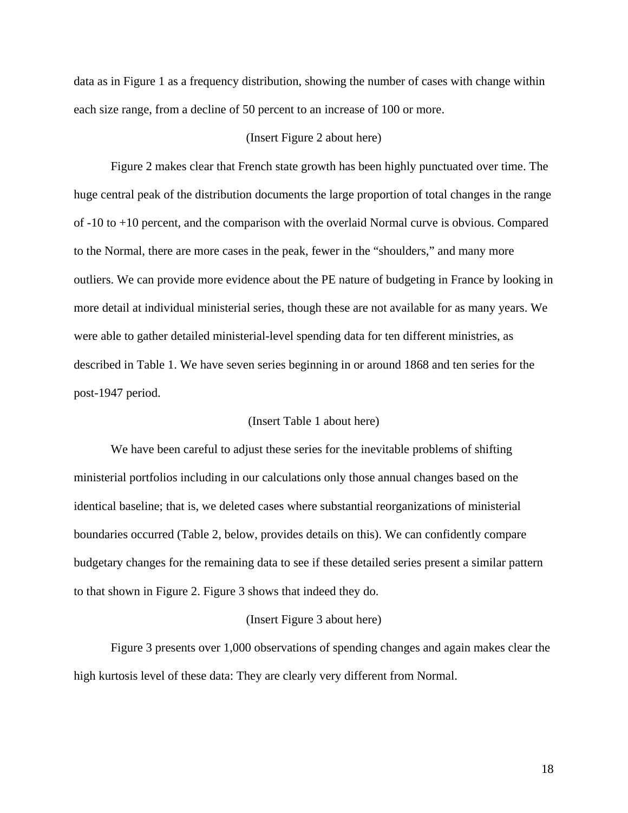data as in Figure 1 as a frequency distribution, showing the number of cases with change within each size range, from a decline of 50 percent to an increase of 100 or more.

#### (Insert Figure 2 about here)

Figure 2 makes clear that French state growth has been highly punctuated over time. The huge central peak of the distribution documents the large proportion of total changes in the range of -10 to +10 percent, and the comparison with the overlaid Normal curve is obvious. Compared to the Normal, there are more cases in the peak, fewer in the "shoulders," and many more outliers. We can provide more evidence about the PE nature of budgeting in France by looking in more detail at individual ministerial series, though these are not available for as many years. We were able to gather detailed ministerial-level spending data for ten different ministries, as described in Table 1. We have seven series beginning in or around 1868 and ten series for the post-1947 period.

#### (Insert Table 1 about here)

We have been careful to adjust these series for the inevitable problems of shifting ministerial portfolios including in our calculations only those annual changes based on the identical baseline; that is, we deleted cases where substantial reorganizations of ministerial boundaries occurred (Table 2, below, provides details on this). We can confidently compare budgetary changes for the remaining data to see if these detailed series present a similar pattern to that shown in Figure 2. Figure 3 shows that indeed they do.

#### (Insert Figure 3 about here)

Figure 3 presents over 1,000 observations of spending changes and again makes clear the high kurtosis level of these data: They are clearly very different from Normal.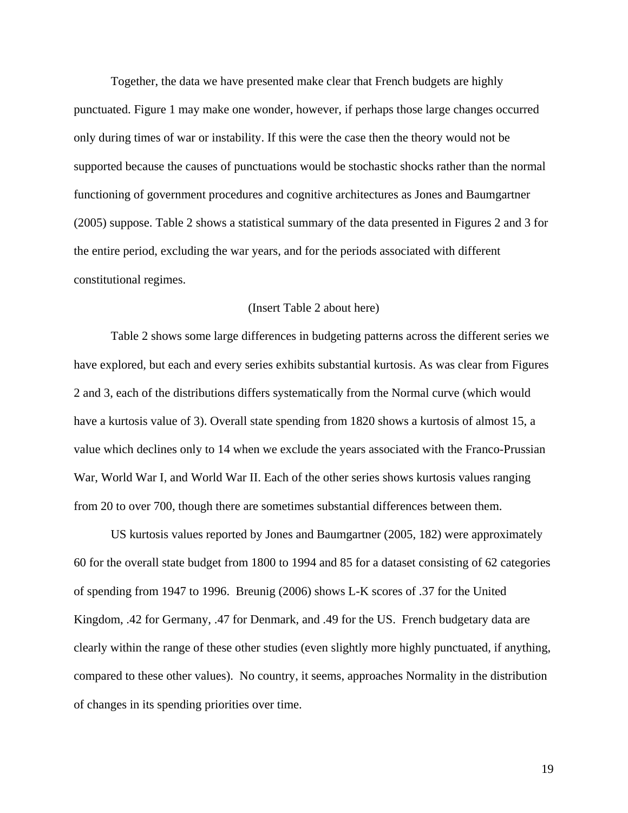Together, the data we have presented make clear that French budgets are highly punctuated. Figure 1 may make one wonder, however, if perhaps those large changes occurred only during times of war or instability. If this were the case then the theory would not be supported because the causes of punctuations would be stochastic shocks rather than the normal functioning of government procedures and cognitive architectures as Jones and Baumgartner (2005) suppose. Table 2 shows a statistical summary of the data presented in Figures 2 and 3 for the entire period, excluding the war years, and for the periods associated with different constitutional regimes.

#### (Insert Table 2 about here)

Table 2 shows some large differences in budgeting patterns across the different series we have explored, but each and every series exhibits substantial kurtosis. As was clear from Figures 2 and 3, each of the distributions differs systematically from the Normal curve (which would have a kurtosis value of 3). Overall state spending from 1820 shows a kurtosis of almost 15, a value which declines only to 14 when we exclude the years associated with the Franco-Prussian War, World War I, and World War II. Each of the other series shows kurtosis values ranging from 20 to over 700, though there are sometimes substantial differences between them.

US kurtosis values reported by Jones and Baumgartner (2005, 182) were approximately 60 for the overall state budget from 1800 to 1994 and 85 for a dataset consisting of 62 categories of spending from 1947 to 1996. Breunig (2006) shows L-K scores of .37 for the United Kingdom, .42 for Germany, .47 for Denmark, and .49 for the US. French budgetary data are clearly within the range of these other studies (even slightly more highly punctuated, if anything, compared to these other values). No country, it seems, approaches Normality in the distribution of changes in its spending priorities over time.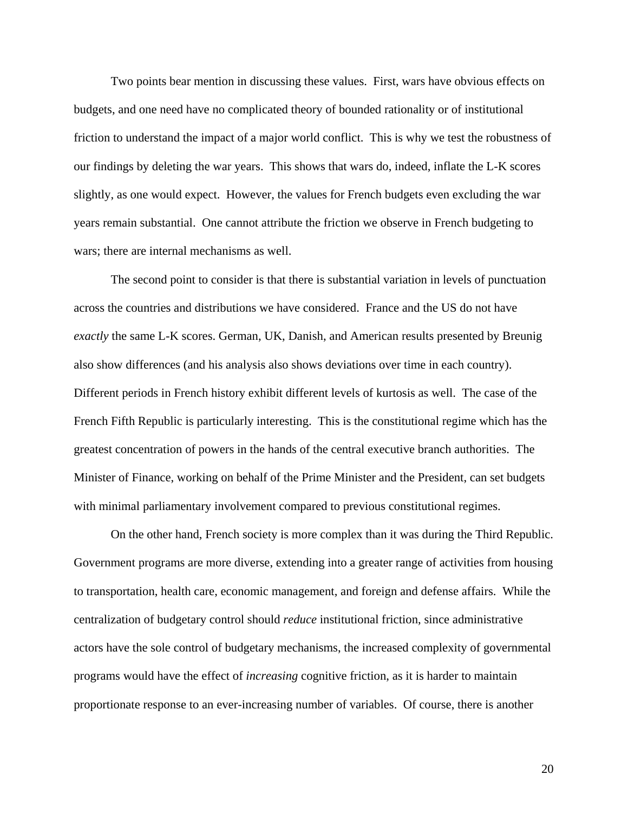Two points bear mention in discussing these values. First, wars have obvious effects on budgets, and one need have no complicated theory of bounded rationality or of institutional friction to understand the impact of a major world conflict. This is why we test the robustness of our findings by deleting the war years. This shows that wars do, indeed, inflate the L-K scores slightly, as one would expect. However, the values for French budgets even excluding the war years remain substantial. One cannot attribute the friction we observe in French budgeting to wars; there are internal mechanisms as well.

The second point to consider is that there is substantial variation in levels of punctuation across the countries and distributions we have considered. France and the US do not have *exactly* the same L-K scores. German, UK, Danish, and American results presented by Breunig also show differences (and his analysis also shows deviations over time in each country). Different periods in French history exhibit different levels of kurtosis as well. The case of the French Fifth Republic is particularly interesting. This is the constitutional regime which has the greatest concentration of powers in the hands of the central executive branch authorities. The Minister of Finance, working on behalf of the Prime Minister and the President, can set budgets with minimal parliamentary involvement compared to previous constitutional regimes.

On the other hand, French society is more complex than it was during the Third Republic. Government programs are more diverse, extending into a greater range of activities from housing to transportation, health care, economic management, and foreign and defense affairs. While the centralization of budgetary control should *reduce* institutional friction, since administrative actors have the sole control of budgetary mechanisms, the increased complexity of governmental programs would have the effect of *increasing* cognitive friction, as it is harder to maintain proportionate response to an ever-increasing number of variables. Of course, there is another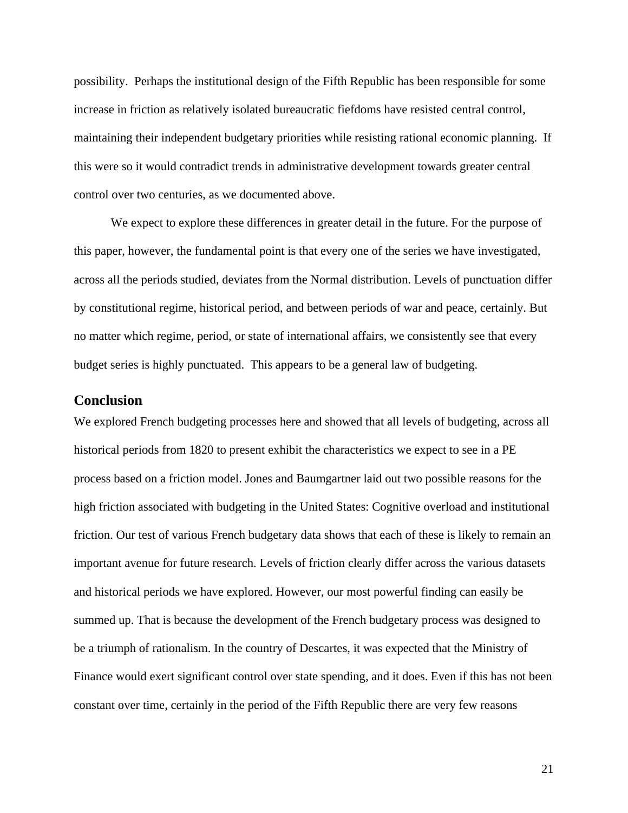possibility. Perhaps the institutional design of the Fifth Republic has been responsible for some increase in friction as relatively isolated bureaucratic fiefdoms have resisted central control, maintaining their independent budgetary priorities while resisting rational economic planning. If this were so it would contradict trends in administrative development towards greater central control over two centuries, as we documented above.

We expect to explore these differences in greater detail in the future. For the purpose of this paper, however, the fundamental point is that every one of the series we have investigated, across all the periods studied, deviates from the Normal distribution. Levels of punctuation differ by constitutional regime, historical period, and between periods of war and peace, certainly. But no matter which regime, period, or state of international affairs, we consistently see that every budget series is highly punctuated. This appears to be a general law of budgeting.

#### **Conclusion**

We explored French budgeting processes here and showed that all levels of budgeting, across all historical periods from 1820 to present exhibit the characteristics we expect to see in a PE process based on a friction model. Jones and Baumgartner laid out two possible reasons for the high friction associated with budgeting in the United States: Cognitive overload and institutional friction. Our test of various French budgetary data shows that each of these is likely to remain an important avenue for future research. Levels of friction clearly differ across the various datasets and historical periods we have explored. However, our most powerful finding can easily be summed up. That is because the development of the French budgetary process was designed to be a triumph of rationalism. In the country of Descartes, it was expected that the Ministry of Finance would exert significant control over state spending, and it does. Even if this has not been constant over time, certainly in the period of the Fifth Republic there are very few reasons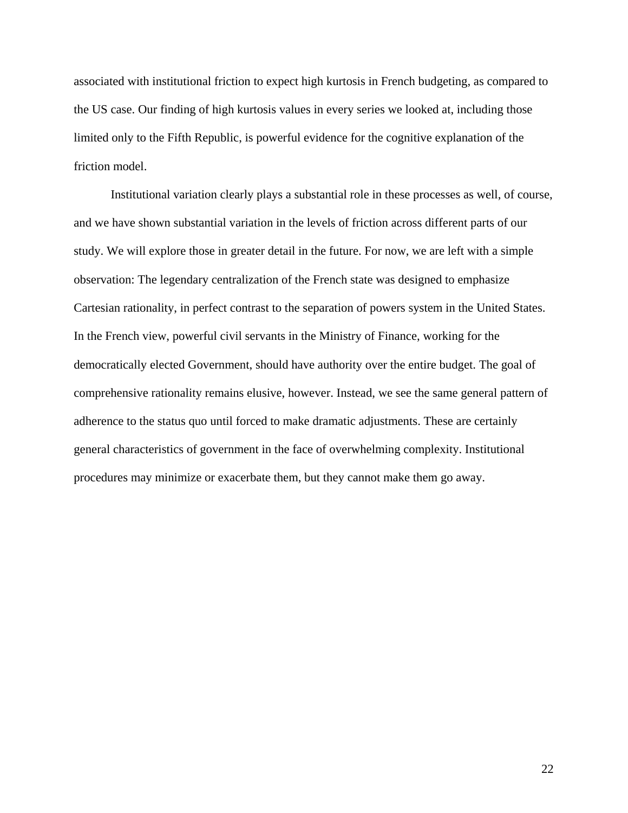associated with institutional friction to expect high kurtosis in French budgeting, as compared to the US case. Our finding of high kurtosis values in every series we looked at, including those limited only to the Fifth Republic, is powerful evidence for the cognitive explanation of the friction model.

Institutional variation clearly plays a substantial role in these processes as well, of course, and we have shown substantial variation in the levels of friction across different parts of our study. We will explore those in greater detail in the future. For now, we are left with a simple observation: The legendary centralization of the French state was designed to emphasize Cartesian rationality, in perfect contrast to the separation of powers system in the United States. In the French view, powerful civil servants in the Ministry of Finance, working for the democratically elected Government, should have authority over the entire budget. The goal of comprehensive rationality remains elusive, however. Instead, we see the same general pattern of adherence to the status quo until forced to make dramatic adjustments. These are certainly general characteristics of government in the face of overwhelming complexity. Institutional procedures may minimize or exacerbate them, but they cannot make them go away.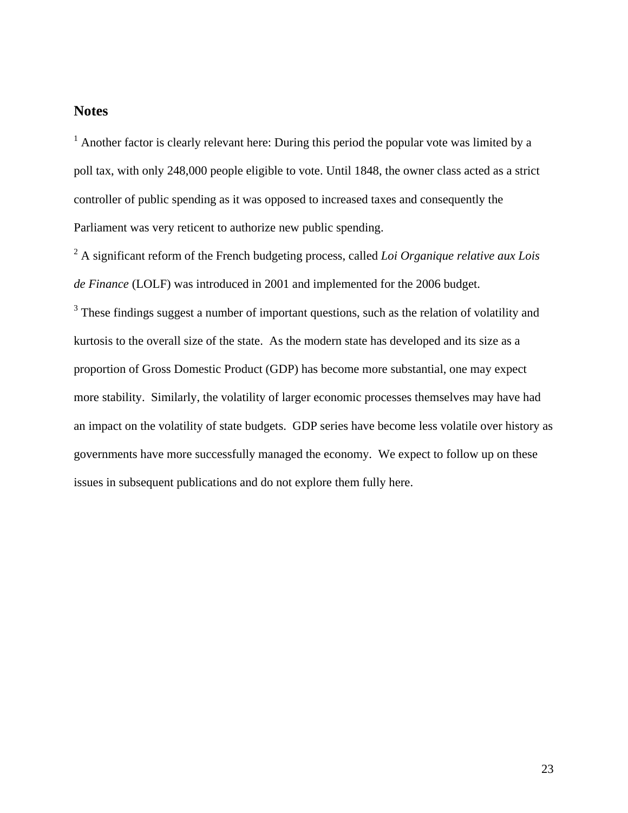## **Notes**

<span id="page-22-0"></span> $<sup>1</sup>$  Another factor is clearly relevant here: During this period the popular vote was limited by a</sup> poll tax, with only 248,000 people eligible to vote. Until 1848, the owner class acted as a strict controller of public spending as it was opposed to increased taxes and consequently the Parliament was very reticent to authorize new public spending.

<span id="page-22-1"></span>2 A significant reform of the French budgeting process, called *Loi Organique relative aux Lois de Finance* (LOLF) was introduced in 2001 and implemented for the 2006 budget.

<span id="page-22-2"></span><sup>3</sup> These findings suggest a number of important questions, such as the relation of volatility and kurtosis to the overall size of the state. As the modern state has developed and its size as a proportion of Gross Domestic Product (GDP) has become more substantial, one may expect more stability. Similarly, the volatility of larger economic processes themselves may have had an impact on the volatility of state budgets. GDP series have become less volatile over history as governments have more successfully managed the economy. We expect to follow up on these issues in subsequent publications and do not explore them fully here.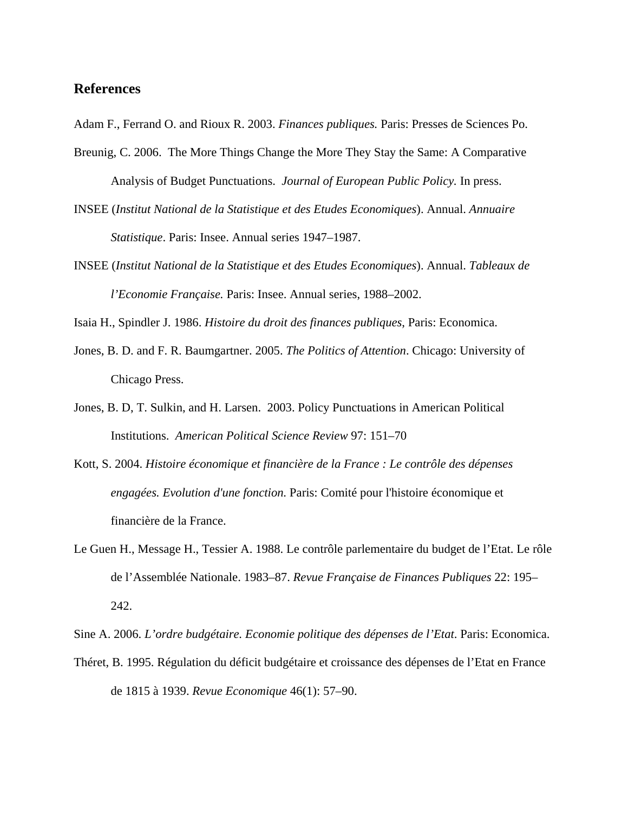## **References**

Adam F., Ferrand O. and Rioux R. 2003. *Finances publiques.* Paris: Presses de Sciences Po.

- Breunig, C. 2006. The More Things Change the More They Stay the Same: A Comparative Analysis of Budget Punctuations. *Journal of European Public Policy.* In press.
- INSEE (*Institut National de la Statistique et des Etudes Economiques*). Annual. *Annuaire Statistique*. Paris: Insee. Annual series 1947–1987.
- INSEE (*Institut National de la Statistique et des Etudes Economiques*). Annual. *Tableaux de l'Economie Française.* Paris: Insee. Annual series, 1988–2002.

Isaia H., Spindler J. 1986. *Histoire du droit des finances publiques*, Paris: Economica.

- Jones, B. D. and F. R. Baumgartner. 2005. *The Politics of Attention*. Chicago: University of Chicago Press.
- Jones, B. D, T. Sulkin, and H. Larsen. 2003. Policy Punctuations in American Political Institutions. *American Political Science Review* 97: 151–70
- Kott, S. 2004. *Histoire économique et financière de la France : Le contrôle des dépenses engagées. Evolution d'une fonction.* Paris: Comité pour l'histoire économique et financière de la France.
- Le Guen H., Message H., Tessier A. 1988. Le contrôle parlementaire du budget de l'Etat. Le rôle de l'Assemblée Nationale. 1983–87. *Revue Française de Finances Publiques* 22: 195– 242.

Sine A. 2006. *L'ordre budgétaire. Economie politique des dépenses de l'Etat*. Paris: Economica.

Théret, B. 1995. Régulation du déficit budgétaire et croissance des dépenses de l'Etat en France de 1815 à 1939. *Revue Economique* 46(1): 57–90.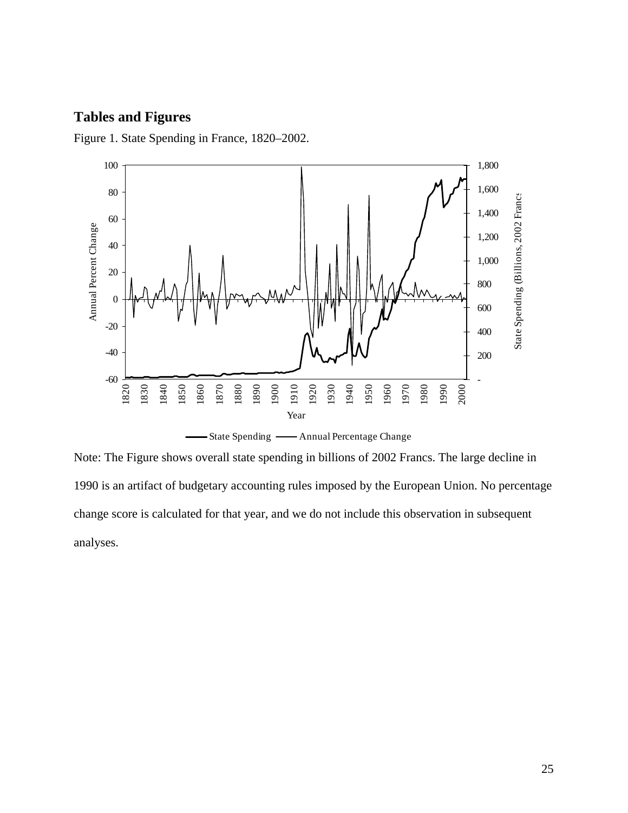## **Tables and Figures**

Figure 1. State Spending in France, 1820–2002.



Note: The Figure shows overall state spending in billions of 2002 Francs. The large decline in 1990 is an artifact of budgetary accounting rules imposed by the European Union. No percentage change score is calculated for that year, and we do not include this observation in subsequent analyses.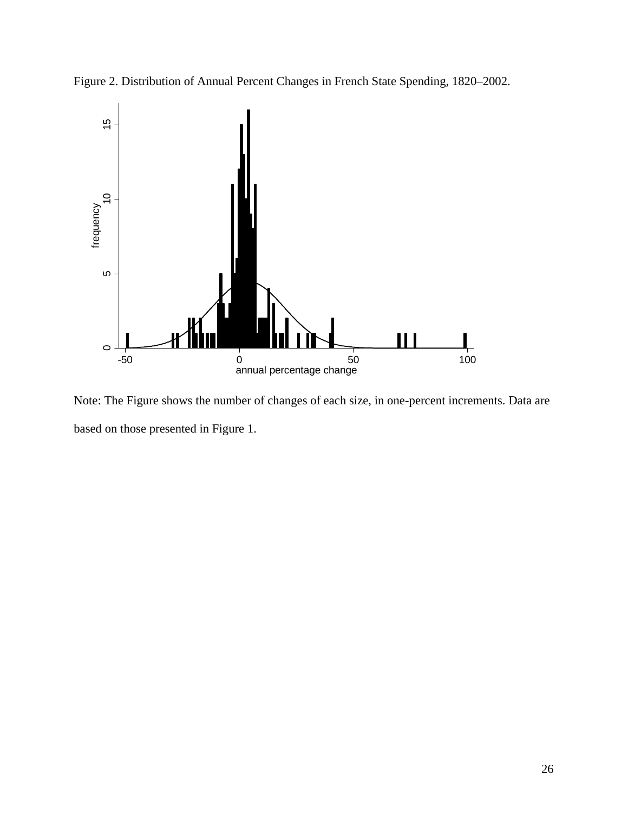



Note: The Figure shows the number of changes of each size, in one-percent increments. Data are based on those presented in Figure 1.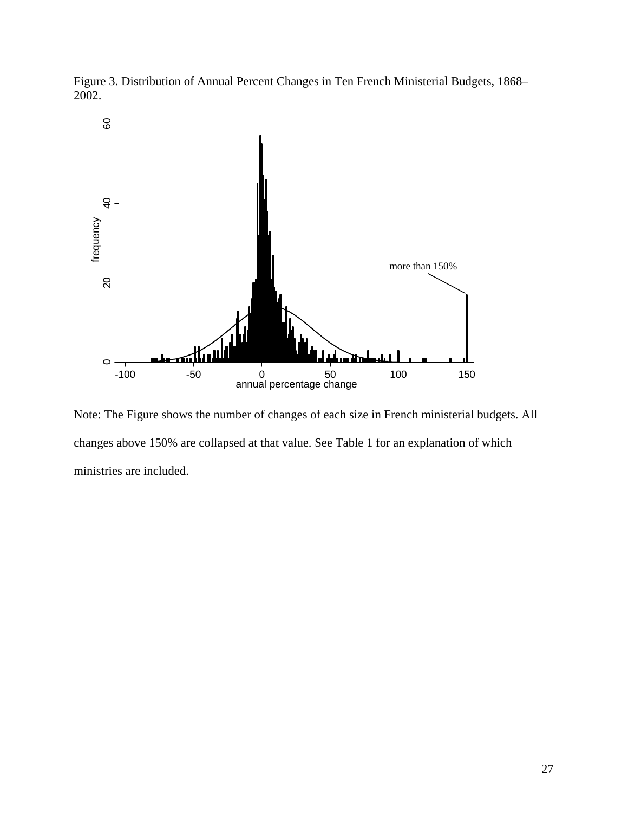Figure 3. Distribution of Annual Percent Changes in Ten French Ministerial Budgets, 1868– 2002.



Note: The Figure shows the number of changes of each size in French ministerial budgets. All changes above 150% are collapsed at that value. See Table 1 for an explanation of which ministries are included.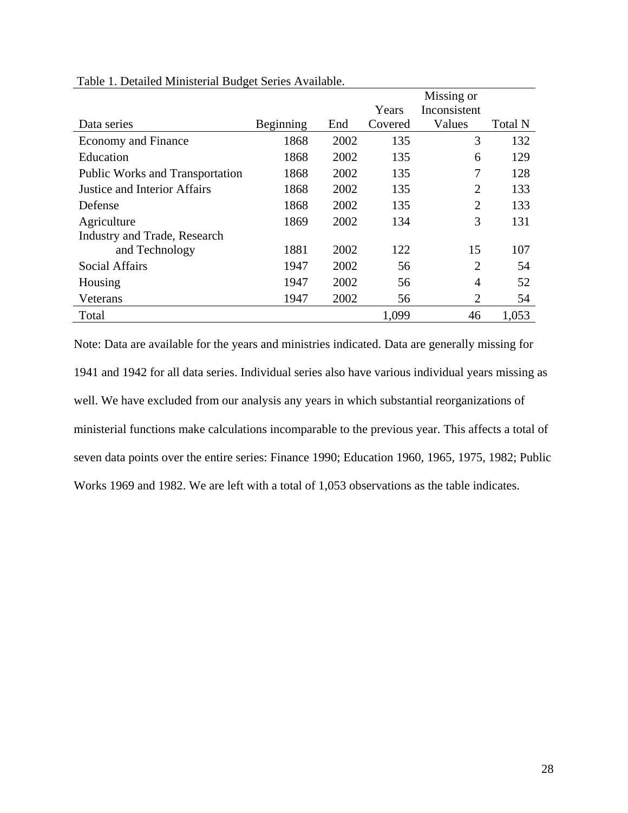|                                        |           |      |         | Missing or     |         |
|----------------------------------------|-----------|------|---------|----------------|---------|
|                                        |           |      | Years   | Inconsistent   |         |
| Data series                            | Beginning | End  | Covered | Values         | Total N |
| Economy and Finance                    | 1868      | 2002 | 135     | 3              | 132     |
| Education                              | 1868      | 2002 | 135     | 6              | 129     |
| <b>Public Works and Transportation</b> | 1868      | 2002 | 135     | 7              | 128     |
| <b>Justice and Interior Affairs</b>    | 1868      | 2002 | 135     | $\overline{2}$ | 133     |
| Defense                                | 1868      | 2002 | 135     | $\overline{2}$ | 133     |
| Agriculture                            | 1869      | 2002 | 134     | 3              | 131     |
| Industry and Trade, Research           |           |      |         |                |         |
| and Technology                         | 1881      | 2002 | 122     | 15             | 107     |
| <b>Social Affairs</b>                  | 1947      | 2002 | 56      | $\overline{2}$ | 54      |
| Housing                                | 1947      | 2002 | 56      | 4              | 52      |
| Veterans                               | 1947      | 2002 | 56      | $\overline{2}$ | 54      |
| Total                                  |           |      | 1,099   | 46             | 1,053   |

#### Table 1. Detailed Ministerial Budget Series Available.

Note: Data are available for the years and ministries indicated. Data are generally missing for 1941 and 1942 for all data series. Individual series also have various individual years missing as well. We have excluded from our analysis any years in which substantial reorganizations of ministerial functions make calculations incomparable to the previous year. This affects a total of seven data points over the entire series: Finance 1990; Education 1960, 1965, 1975, 1982; Public Works 1969 and 1982. We are left with a total of 1,053 observations as the table indicates.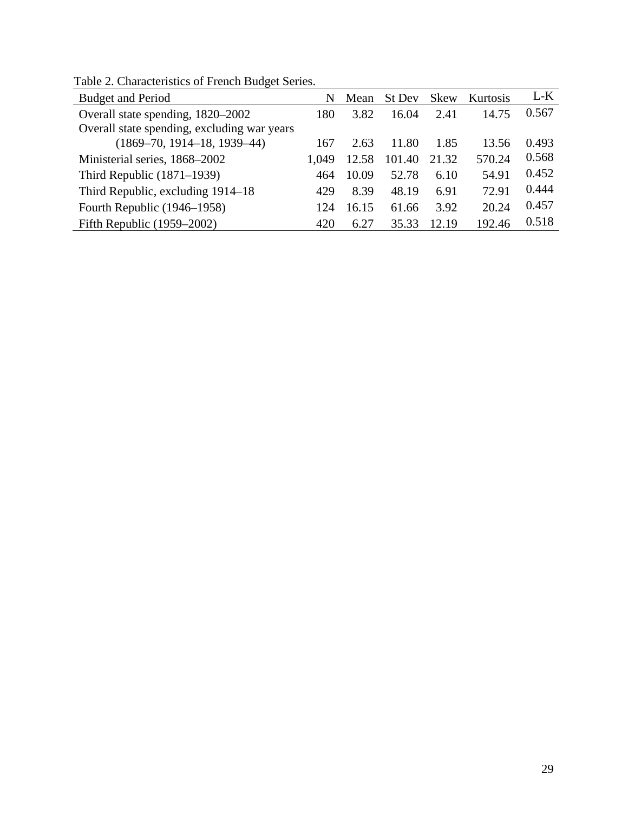| <b>Budget and Period</b>                    | N     | Mean  | St Dev | <b>Skew</b> | Kurtosis | $L-K$ |
|---------------------------------------------|-------|-------|--------|-------------|----------|-------|
| Overall state spending, 1820–2002           | 180   | 3.82  | 16.04  | 2.41        | 14.75    | 0.567 |
| Overall state spending, excluding war years |       |       |        |             |          |       |
| $(1869-70, 1914-18, 1939-44)$               | 167   | 2.63  | 11.80  | 1.85        | 13.56    | 0.493 |
| Ministerial series, 1868-2002               | 1,049 | 12.58 | 101.40 | 21.32       | 570.24   | 0.568 |
| Third Republic $(1871-1939)$                | 464   | 10.09 | 52.78  | 6.10        | 54.91    | 0.452 |
| Third Republic, excluding 1914–18           | 429   | 8.39  | 48.19  | 6.91        | 72.91    | 0.444 |
| Fourth Republic (1946–1958)                 | 124   | 16.15 | 61.66  | 3.92        | 20.24    | 0.457 |
| Fifth Republic $(1959-2002)$                | 420   | 6.27  | 35.33  | 12.19       | 192.46   | 0.518 |

Table 2. Characteristics of French Budget Series.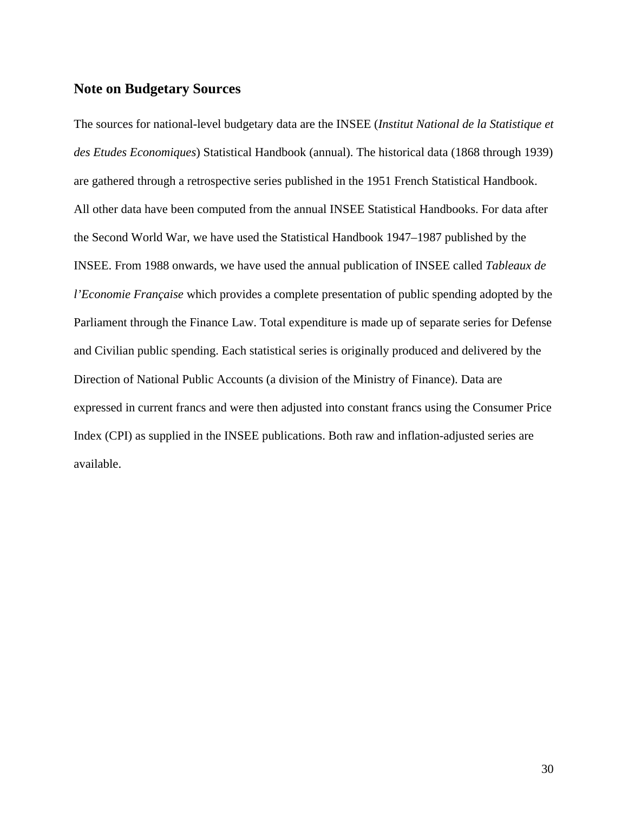## **Note on Budgetary Sources**

The sources for national-level budgetary data are the INSEE (*Institut National de la Statistique et des Etudes Economiques*) Statistical Handbook (annual). The historical data (1868 through 1939) are gathered through a retrospective series published in the 1951 French Statistical Handbook. All other data have been computed from the annual INSEE Statistical Handbooks. For data after the Second World War, we have used the Statistical Handbook 1947–1987 published by the INSEE. From 1988 onwards, we have used the annual publication of INSEE called *Tableaux de l'Economie Française* which provides a complete presentation of public spending adopted by the Parliament through the Finance Law. Total expenditure is made up of separate series for Defense and Civilian public spending. Each statistical series is originally produced and delivered by the Direction of National Public Accounts (a division of the Ministry of Finance). Data are expressed in current francs and were then adjusted into constant francs using the Consumer Price Index (CPI) as supplied in the INSEE publications. Both raw and inflation-adjusted series are available.